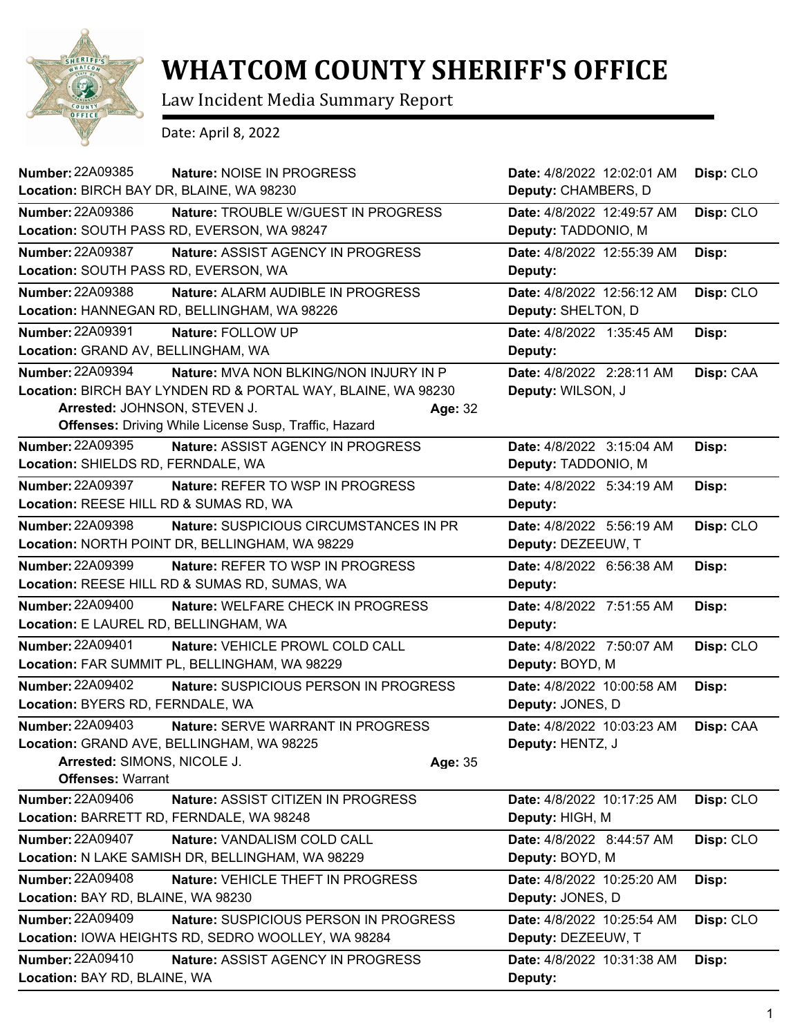

## **WHATCOM COUNTY SHERIFF'S OFFICE**

Law Incident Media Summary Report

Date: April 8, 2022

| <b>Number: 22A09385</b>                  | Nature: NOISE IN PROGRESS                                    |                           | Date: 4/8/2022 12:02:01 AM | Disp: CLO |
|------------------------------------------|--------------------------------------------------------------|---------------------------|----------------------------|-----------|
| Location: BIRCH BAY DR, BLAINE, WA 98230 |                                                              | Deputy: CHAMBERS, D       |                            |           |
| Number: 22A09386                         | Nature: TROUBLE W/GUEST IN PROGRESS                          |                           | Date: 4/8/2022 12:49:57 AM | Disp: CLO |
|                                          | Location: SOUTH PASS RD, EVERSON, WA 98247                   | Deputy: TADDONIO, M       |                            |           |
| Number: 22A09387                         | Nature: ASSIST AGENCY IN PROGRESS                            |                           | Date: 4/8/2022 12:55:39 AM | Disp:     |
| Location: SOUTH PASS RD, EVERSON, WA     |                                                              | Deputy:                   |                            |           |
| <b>Number: 22A09388</b>                  | Nature: ALARM AUDIBLE IN PROGRESS                            |                           | Date: 4/8/2022 12:56:12 AM | Disp: CLO |
|                                          | Location: HANNEGAN RD, BELLINGHAM, WA 98226                  | Deputy: SHELTON, D        |                            |           |
| <b>Number: 22A09391</b>                  | Nature: FOLLOW UP                                            | Date: 4/8/2022 1:35:45 AM |                            | Disp:     |
| Location: GRAND AV, BELLINGHAM, WA       |                                                              | Deputy:                   |                            |           |
| <b>Number: 22A09394</b>                  | Nature: MVA NON BLKING/NON INJURY IN P                       | Date: 4/8/2022 2:28:11 AM |                            | Disp: CAA |
|                                          | Location: BIRCH BAY LYNDEN RD & PORTAL WAY, BLAINE, WA 98230 | Deputy: WILSON, J         |                            |           |
| Arrested: JOHNSON, STEVEN J.             |                                                              | Age: 32                   |                            |           |
|                                          | <b>Offenses:</b> Driving While License Susp, Traffic, Hazard |                           |                            |           |
| <b>Number: 22A09395</b>                  | Nature: ASSIST AGENCY IN PROGRESS                            | Date: 4/8/2022 3:15:04 AM |                            | Disp:     |
| Location: SHIELDS RD, FERNDALE, WA       |                                                              | Deputy: TADDONIO, M       |                            |           |
| <b>Number: 22A09397</b>                  | Nature: REFER TO WSP IN PROGRESS                             | Date: 4/8/2022 5:34:19 AM |                            | Disp:     |
| Location: REESE HILL RD & SUMAS RD, WA   |                                                              | Deputy:                   |                            |           |
| <b>Number: 22A09398</b>                  | Nature: SUSPICIOUS CIRCUMSTANCES IN PR                       | Date: 4/8/2022 5:56:19 AM |                            | Disp: CLO |
|                                          | Location: NORTH POINT DR, BELLINGHAM, WA 98229               | Deputy: DEZEEUW, T        |                            |           |
| <b>Number: 22A09399</b>                  | <b>Nature: REFER TO WSP IN PROGRESS</b>                      | Date: 4/8/2022 6:56:38 AM |                            | Disp:     |
|                                          | Location: REESE HILL RD & SUMAS RD, SUMAS, WA                | Deputy:                   |                            |           |
| <b>Number: 22A09400</b>                  | Nature: WELFARE CHECK IN PROGRESS                            | Date: 4/8/2022 7:51:55 AM |                            | Disp:     |
| Location: E LAUREL RD, BELLINGHAM, WA    |                                                              | Deputy:                   |                            |           |
| <b>Number: 22A09401</b>                  | Nature: VEHICLE PROWL COLD CALL                              | Date: 4/8/2022 7:50:07 AM |                            | Disp: CLO |
|                                          | Location: FAR SUMMIT PL, BELLINGHAM, WA 98229                | Deputy: BOYD, M           |                            |           |
| <b>Number: 22A09402</b>                  | Nature: SUSPICIOUS PERSON IN PROGRESS                        |                           | Date: 4/8/2022 10:00:58 AM | Disp:     |
| Location: BYERS RD, FERNDALE, WA         |                                                              | Deputy: JONES, D          |                            |           |
| <b>Number: 22A09403</b>                  | <b>Nature: SERVE WARRANT IN PROGRESS</b>                     |                           | Date: 4/8/2022 10:03:23 AM | Disp: CAA |
|                                          | Location: GRAND AVE, BELLINGHAM, WA 98225                    | Deputy: HENTZ, J          |                            |           |
| Arrested: SIMONS, NICOLE J.              |                                                              | Age: 35                   |                            |           |
| <b>Offenses: Warrant</b>                 |                                                              |                           |                            |           |
| <b>Number: 22A09406</b>                  | Nature: ASSIST CITIZEN IN PROGRESS                           |                           | Date: 4/8/2022 10:17:25 AM | Disp: CLO |
| Location: BARRETT RD, FERNDALE, WA 98248 |                                                              | Deputy: HIGH, M           |                            |           |
| <b>Number: 22A09407</b>                  | Nature: VANDALISM COLD CALL                                  | Date: 4/8/2022 8:44:57 AM |                            | Disp: CLO |
|                                          | Location: N LAKE SAMISH DR, BELLINGHAM, WA 98229             | Deputy: BOYD, M           |                            |           |
| <b>Number: 22A09408</b>                  | Nature: VEHICLE THEFT IN PROGRESS                            |                           | Date: 4/8/2022 10:25:20 AM | Disp:     |
| Location: BAY RD, BLAINE, WA 98230       |                                                              | Deputy: JONES, D          |                            |           |
| <b>Number: 22A09409</b>                  | Nature: SUSPICIOUS PERSON IN PROGRESS                        |                           | Date: 4/8/2022 10:25:54 AM | Disp: CLO |
|                                          | Location: IOWA HEIGHTS RD, SEDRO WOOLLEY, WA 98284           | Deputy: DEZEEUW, T        |                            |           |
| <b>Number: 22A09410</b>                  | Nature: ASSIST AGENCY IN PROGRESS                            |                           | Date: 4/8/2022 10:31:38 AM | Disp:     |
| Location: BAY RD, BLAINE, WA             |                                                              | Deputy:                   |                            |           |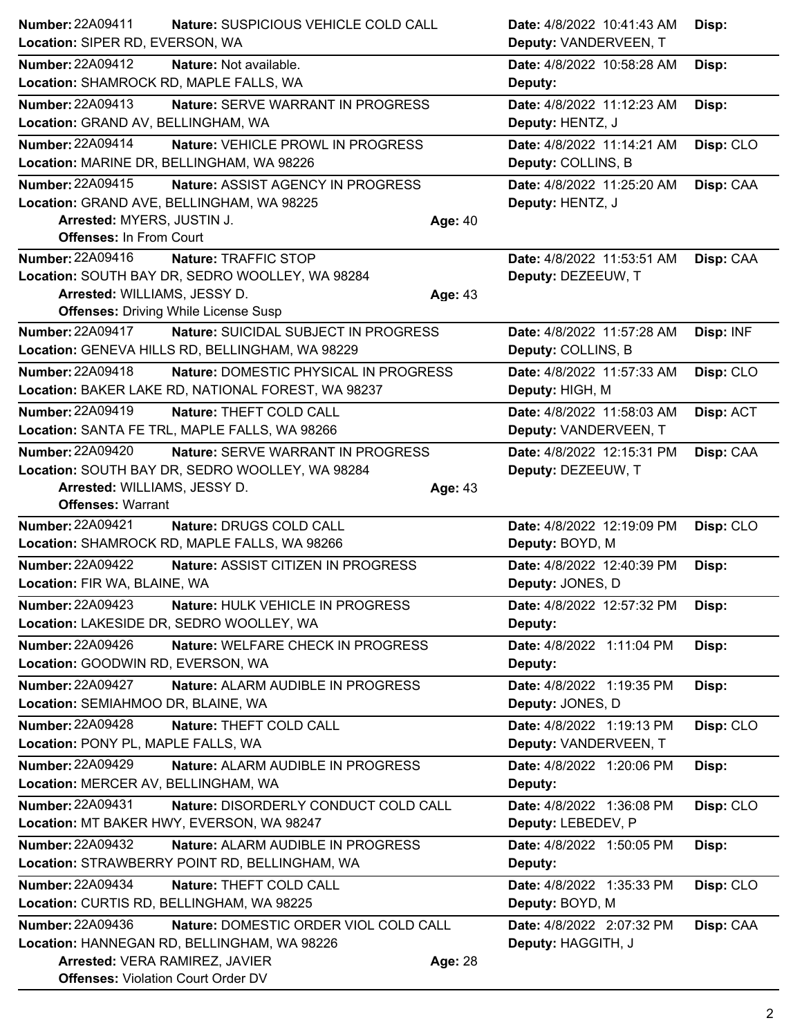| Number: 22A09411                          | Nature: SUSPICIOUS VEHICLE COLD CALL               |         | Date: 4/8/2022 10:41:43 AM | Disp:     |
|-------------------------------------------|----------------------------------------------------|---------|----------------------------|-----------|
| Location: SIPER RD, EVERSON, WA           |                                                    |         | Deputy: VANDERVEEN, T      |           |
| Number: 22A09412                          | Nature: Not available.                             |         | Date: 4/8/2022 10:58:28 AM | Disp:     |
| Location: SHAMROCK RD, MAPLE FALLS, WA    |                                                    |         | Deputy:                    |           |
| Number: 22A09413                          | Nature: SERVE WARRANT IN PROGRESS                  |         | Date: 4/8/2022 11:12:23 AM | Disp:     |
| Location: GRAND AV, BELLINGHAM, WA        |                                                    |         | Deputy: HENTZ, J           |           |
| Number: 22A09414                          | Nature: VEHICLE PROWL IN PROGRESS                  |         | Date: 4/8/2022 11:14:21 AM | Disp: CLO |
|                                           | Location: MARINE DR, BELLINGHAM, WA 98226          |         | Deputy: COLLINS, B         |           |
| <b>Number: 22A09415</b>                   | Nature: ASSIST AGENCY IN PROGRESS                  |         | Date: 4/8/2022 11:25:20 AM | Disp: CAA |
|                                           | Location: GRAND AVE, BELLINGHAM, WA 98225          |         | Deputy: HENTZ, J           |           |
| Arrested: MYERS, JUSTIN J.                |                                                    | Age: 40 |                            |           |
| <b>Offenses: In From Court</b>            |                                                    |         |                            |           |
| <b>Number: 22A09416</b>                   | Nature: TRAFFIC STOP                               |         | Date: 4/8/2022 11:53:51 AM | Disp: CAA |
|                                           | Location: SOUTH BAY DR, SEDRO WOOLLEY, WA 98284    |         | Deputy: DEZEEUW, T         |           |
| Arrested: WILLIAMS, JESSY D.              | <b>Offenses: Driving While License Susp</b>        | Age: 43 |                            |           |
| <b>Number: 22A09417</b>                   | Nature: SUICIDAL SUBJECT IN PROGRESS               |         | Date: 4/8/2022 11:57:28 AM | Disp: INF |
|                                           | Location: GENEVA HILLS RD, BELLINGHAM, WA 98229    |         | Deputy: COLLINS, B         |           |
| Number: 22A09418                          | Nature: DOMESTIC PHYSICAL IN PROGRESS              |         | Date: 4/8/2022 11:57:33 AM | Disp: CLO |
|                                           | Location: BAKER LAKE RD, NATIONAL FOREST, WA 98237 |         | Deputy: HIGH, M            |           |
| Number: 22A09419                          | Nature: THEFT COLD CALL                            |         | Date: 4/8/2022 11:58:03 AM | Disp: ACT |
|                                           | Location: SANTA FE TRL, MAPLE FALLS, WA 98266      |         | Deputy: VANDERVEEN, T      |           |
| <b>Number: 22A09420</b>                   | <b>Nature: SERVE WARRANT IN PROGRESS</b>           |         | Date: 4/8/2022 12:15:31 PM | Disp: CAA |
|                                           | Location: SOUTH BAY DR, SEDRO WOOLLEY, WA 98284    |         | Deputy: DEZEEUW, T         |           |
| Arrested: WILLIAMS, JESSY D.              |                                                    | Age: 43 |                            |           |
| <b>Offenses: Warrant</b>                  |                                                    |         |                            |           |
| Number: 22A09421                          | Nature: DRUGS COLD CALL                            |         | Date: 4/8/2022 12:19:09 PM | Disp: CLO |
|                                           | Location: SHAMROCK RD, MAPLE FALLS, WA 98266       |         | Deputy: BOYD, M            |           |
| <b>Number: 22A09422</b>                   | Nature: ASSIST CITIZEN IN PROGRESS                 |         | Date: 4/8/2022 12:40:39 PM | Disp:     |
| Location: FIR WA, BLAINE, WA              |                                                    |         | Deputy: JONES, D           |           |
| Number: 22A09423                          | <b>Nature: HULK VEHICLE IN PROGRESS</b>            |         | Date: 4/8/2022 12:57:32 PM | Disp:     |
|                                           | Location: LAKESIDE DR, SEDRO WOOLLEY, WA           |         | Deputy:                    |           |
| <b>Number: 22A09426</b>                   | Nature: WELFARE CHECK IN PROGRESS                  |         | Date: 4/8/2022 1:11:04 PM  | Disp:     |
| Location: GOODWIN RD, EVERSON, WA         |                                                    |         | Deputy:                    |           |
| <b>Number: 22A09427</b>                   | Nature: ALARM AUDIBLE IN PROGRESS                  |         | Date: 4/8/2022 1:19:35 PM  | Disp:     |
| Location: SEMIAHMOO DR, BLAINE, WA        |                                                    |         | Deputy: JONES, D           |           |
| Number: 22A09428                          | Nature: THEFT COLD CALL                            |         | Date: 4/8/2022 1:19:13 PM  | Disp: CLO |
| Location: PONY PL, MAPLE FALLS, WA        |                                                    |         | Deputy: VANDERVEEN, T      |           |
| Number: 22A09429                          | Nature: ALARM AUDIBLE IN PROGRESS                  |         | Date: 4/8/2022 1:20:06 PM  | Disp:     |
| Location: MERCER AV, BELLINGHAM, WA       |                                                    |         | Deputy:                    |           |
| Number: 22A09431                          | Nature: DISORDERLY CONDUCT COLD CALL               |         | Date: 4/8/2022 1:36:08 PM  | Disp: CLO |
|                                           | Location: MT BAKER HWY, EVERSON, WA 98247          |         | Deputy: LEBEDEV, P         |           |
| Number: 22A09432                          | Nature: ALARM AUDIBLE IN PROGRESS                  |         | Date: 4/8/2022 1:50:05 PM  | Disp:     |
|                                           | Location: STRAWBERRY POINT RD, BELLINGHAM, WA      |         | Deputy:                    |           |
| <b>Number: 22A09434</b>                   | Nature: THEFT COLD CALL                            |         | Date: 4/8/2022 1:35:33 PM  | Disp: CLO |
|                                           | Location: CURTIS RD, BELLINGHAM, WA 98225          |         | Deputy: BOYD, M            |           |
| Number: 22A09436                          | Nature: DOMESTIC ORDER VIOL COLD CALL              |         | Date: 4/8/2022 2:07:32 PM  | Disp: CAA |
|                                           | Location: HANNEGAN RD, BELLINGHAM, WA 98226        |         | Deputy: HAGGITH, J         |           |
| Arrested: VERA RAMIREZ, JAVIER            |                                                    | Age: 28 |                            |           |
| <b>Offenses: Violation Court Order DV</b> |                                                    |         |                            |           |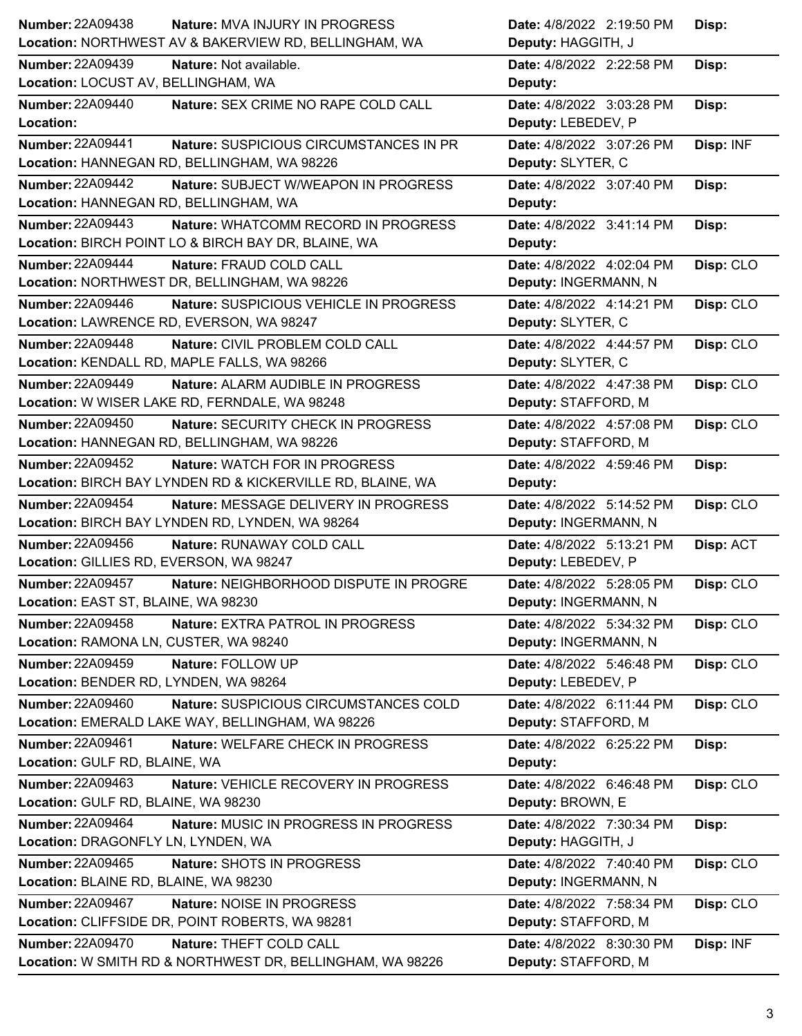| <b>Number: 22A09438</b>                                    | Date: 4/8/2022 2:19:50 PM |
|------------------------------------------------------------|---------------------------|
| Nature: MVA INJURY IN PROGRESS                             | Disp:                     |
| Location: NORTHWEST AV & BAKERVIEW RD, BELLINGHAM, WA      | Deputy: HAGGITH, J        |
| <b>Number: 22A09439</b>                                    | Date: 4/8/2022 2:22:58 PM |
| Nature: Not available.                                     | Disp:                     |
| Location: LOCUST AV, BELLINGHAM, WA                        | Deputy:                   |
| <b>Number: 22A09440</b>                                    | Date: 4/8/2022 3:03:28 PM |
| Nature: SEX CRIME NO RAPE COLD CALL                        | Disp:                     |
| Location:                                                  | Deputy: LEBEDEV, P        |
| <b>Number: 22A09441</b>                                    | Date: 4/8/2022 3:07:26 PM |
| Nature: SUSPICIOUS CIRCUMSTANCES IN PR                     | Disp: INF                 |
| Location: HANNEGAN RD, BELLINGHAM, WA 98226                | Deputy: SLYTER, C         |
| <b>Number: 22A09442</b>                                    | Date: 4/8/2022 3:07:40 PM |
| Nature: SUBJECT W/WEAPON IN PROGRESS                       | Disp:                     |
| Location: HANNEGAN RD, BELLINGHAM, WA                      | Deputy:                   |
| Number: 22A09443                                           | Date: 4/8/2022 3:41:14 PM |
| Nature: WHATCOMM RECORD IN PROGRESS                        | Disp:                     |
| Location: BIRCH POINT LO & BIRCH BAY DR, BLAINE, WA        | Deputy:                   |
| <b>Number: 22A09444</b>                                    | Disp: CLO                 |
| Nature: FRAUD COLD CALL                                    | Date: 4/8/2022 4:02:04 PM |
| Location: NORTHWEST DR, BELLINGHAM, WA 98226               | Deputy: INGERMANN, N      |
| Number: 22A09446                                           | Date: 4/8/2022 4:14:21 PM |
| Nature: SUSPICIOUS VEHICLE IN PROGRESS                     | Disp: CLO                 |
| Location: LAWRENCE RD, EVERSON, WA 98247                   | Deputy: SLYTER, C         |
| <b>Number: 22A09448</b>                                    | Date: 4/8/2022 4:44:57 PM |
| Nature: CIVIL PROBLEM COLD CALL                            | Disp: CLO                 |
| Location: KENDALL RD, MAPLE FALLS, WA 98266                | Deputy: SLYTER, C         |
| Number: 22A09449                                           | Disp: CLO                 |
| Nature: ALARM AUDIBLE IN PROGRESS                          | Date: 4/8/2022 4:47:38 PM |
| Location: W WISER LAKE RD, FERNDALE, WA 98248              | Deputy: STAFFORD, M       |
| <b>Number: 22A09450</b>                                    | Date: 4/8/2022 4:57:08 PM |
| Nature: SECURITY CHECK IN PROGRESS                         | Disp: CLO                 |
| Location: HANNEGAN RD, BELLINGHAM, WA 98226                | Deputy: STAFFORD, M       |
| Number: 22A09452                                           | Date: 4/8/2022 4:59:46 PM |
| <b>Nature: WATCH FOR IN PROGRESS</b>                       | Disp:                     |
| Location: BIRCH BAY LYNDEN RD & KICKERVILLE RD, BLAINE, WA | Deputy:                   |
| <b>Number: 22A09454</b>                                    | Date: 4/8/2022 5:14:52 PM |
| Nature: MESSAGE DELIVERY IN PROGRESS                       | Disp: CLO                 |
| Location: BIRCH BAY LYNDEN RD, LYNDEN, WA 98264            | Deputy: INGERMANN, N      |
| <b>Number: 22A09456</b>                                    | Date: 4/8/2022 5:13:21 PM |
| Nature: RUNAWAY COLD CALL                                  | Disp: ACT                 |
| Location: GILLIES RD, EVERSON, WA 98247                    | Deputy: LEBEDEV, P        |
| <b>Number: 22A09457</b>                                    | Date: 4/8/2022 5:28:05 PM |
| Nature: NEIGHBORHOOD DISPUTE IN PROGRE                     | Disp: CLO                 |
| Location: EAST ST, BLAINE, WA 98230                        | Deputy: INGERMANN, N      |
| <b>Number: 22A09458</b>                                    | Date: 4/8/2022 5:34:32 PM |
| Nature: EXTRA PATROL IN PROGRESS                           | Disp: CLO                 |
| Location: RAMONA LN, CUSTER, WA 98240                      | Deputy: INGERMANN, N      |
| Number: 22A09459                                           | Date: 4/8/2022 5:46:48 PM |
| Nature: FOLLOW UP                                          | Disp: CLO                 |
| Location: BENDER RD, LYNDEN, WA 98264                      | Deputy: LEBEDEV, P        |
| <b>Number: 22A09460</b>                                    | Date: 4/8/2022 6:11:44 PM |
| Nature: SUSPICIOUS CIRCUMSTANCES COLD                      | Disp: CLO                 |
| Location: EMERALD LAKE WAY, BELLINGHAM, WA 98226           | Deputy: STAFFORD, M       |
| <b>Number: 22A09461</b>                                    | Date: 4/8/2022 6:25:22 PM |
| Nature: WELFARE CHECK IN PROGRESS                          | Disp:                     |
| Location: GULF RD, BLAINE, WA                              | Deputy:                   |
| Number: 22A09463                                           | Date: 4/8/2022 6:46:48 PM |
| Nature: VEHICLE RECOVERY IN PROGRESS                       | Disp: CLO                 |
| Location: GULF RD, BLAINE, WA 98230                        | Deputy: BROWN, E          |
| <b>Number: 22A09464</b>                                    | Date: 4/8/2022 7:30:34 PM |
| Nature: MUSIC IN PROGRESS IN PROGRESS                      | Disp:                     |
| Location: DRAGONFLY LN, LYNDEN, WA                         | Deputy: HAGGITH, J        |
| <b>Number: 22A09465</b>                                    | Date: 4/8/2022 7:40:40 PM |
| Nature: SHOTS IN PROGRESS                                  | Disp: CLO                 |
| Location: BLAINE RD, BLAINE, WA 98230                      | Deputy: INGERMANN, N      |
| <b>Number: 22A09467</b>                                    | Disp: CLO                 |
| <b>Nature: NOISE IN PROGRESS</b>                           | Date: 4/8/2022 7:58:34 PM |
| Location: CLIFFSIDE DR, POINT ROBERTS, WA 98281            | Deputy: STAFFORD, M       |
| <b>Number: 22A09470</b>                                    | Date: 4/8/2022 8:30:30 PM |
| Nature: THEFT COLD CALL                                    | Disp: INF                 |
| Location: W SMITH RD & NORTHWEST DR, BELLINGHAM, WA 98226  | Deputy: STAFFORD, M       |